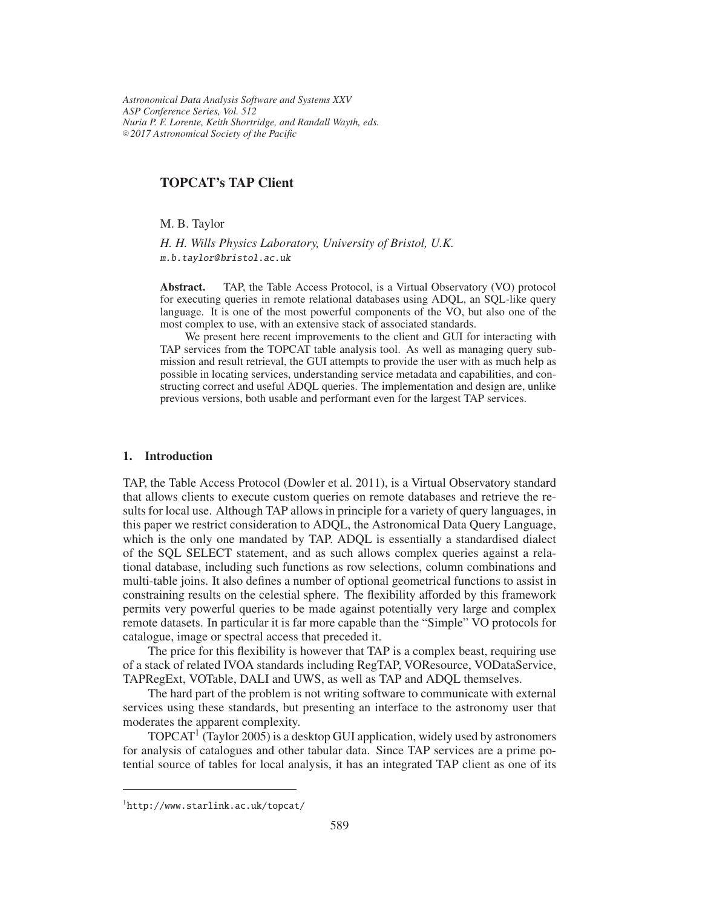*Astronomical Data Analysis Software and Systems XXV ASP Conference Series, Vol. 512 Nuria P. F. Lorente, Keith Shortridge, and Randall Wayth, eds.* <sup>c</sup> *2017 Astronomical Society of the Pacific*

# TOPCAT's TAP Client

M. B. Taylor

*H. H. Wills Physics Laboratory, University of Bristol, U.K.* m.b.taylor@ bristol.ac.uk

Abstract. TAP, the Table Access Protocol, is a Virtual Observatory (VO) protocol for executing queries in remote relational databases using ADQL, an SQL-like query language. It is one of the most powerful components of the VO, but also one of the most complex to use, with an extensive stack of associated standards.

We present here recent improvements to the client and GUI for interacting with TAP services from the TOPCAT table analysis tool. As well as managing query submission and result retrieval, the GUI attempts to provide the user with as much help as possible in locating services, understanding service metadata and capabilities, and constructing correct and useful ADQL queries. The implementation and design are, unlike previous versions, both usable and performant even for the largest TAP services.

#### 1. Introduction

TAP, the Table Access Protocol (Dowler et al. 2011), is a Virtual Observatory standard that allows clients to execute custom queries on remote databases and retrieve the results for local use. Although TAP allows in principle for a variety of query languages, in this paper we restrict consideration to ADQL, the Astronomical Data Query Language, which is the only one mandated by TAP. ADQL is essentially a standardised dialect of the SQL SELECT statement, and as such allows complex queries against a relational database, including such functions as row selections, column combinations and multi-table joins. It also defines a number of optional geometrical functions to assist in constraining results on the celestial sphere. The flexibility afforded by this framework permits very powerful queries to be made against potentially very large and complex remote datasets. In particular it is far more capable than the "Simple" VO protocols for catalogue, image or spectral access that preceded it.

The price for this flexibility is however that TAP is a complex beast, requiring use of a stack of related IVOA standards including RegTAP, VOResource, VODataService, TAPRegExt, VOTable, DALI and UWS, as well as TAP and ADQL themselves.

The hard part of the problem is not writing software to communicate with external services using these standards, but presenting an interface to the astronomy user that moderates the apparent complexity.

TOPCAT<sup>1</sup> (Taylor 2005) is a desktop GUI application, widely used by astronomers for analysis of catalogues and other tabular data. Since TAP services are a prime potential source of tables for local analysis, it has an integrated TAP client as one of its

<sup>1</sup>http://www.starlink.ac.uk/topcat/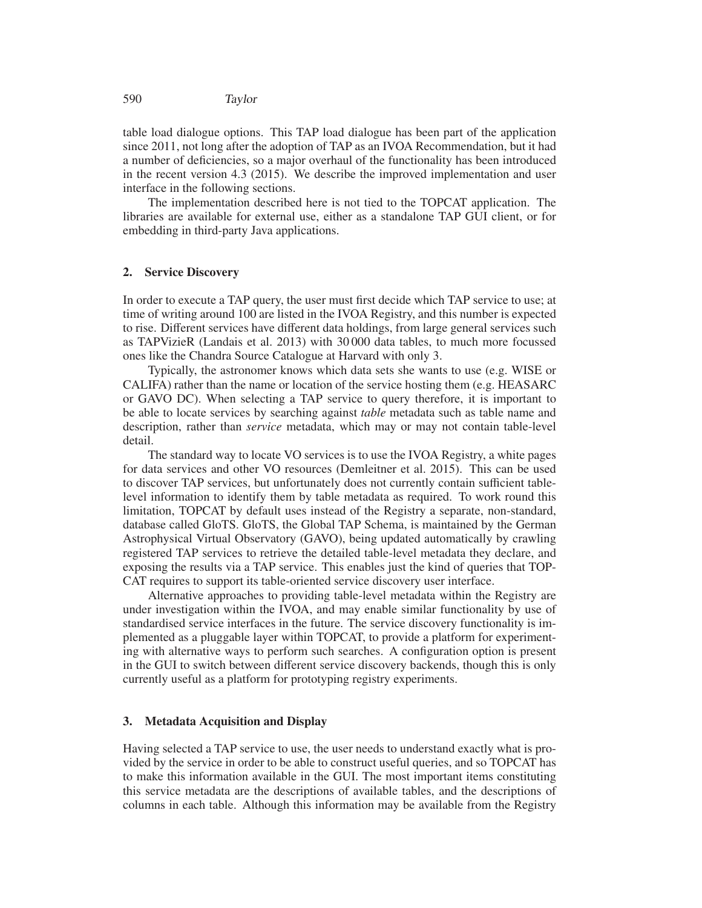table load dialogue options. This TAP load dialogue has been part of the application since 2011, not long after the adoption of TAP as an IVOA Recommendation, but it had a number of deficiencies, so a major overhaul of the functionality has been introduced in the recent version 4.3 (2015). We describe the improved implementation and user interface in the following sections.

The implementation described here is not tied to the TOPCAT application. The libraries are available for external use, either as a standalone TAP GUI client, or for embedding in third-party Java applications.

## 2. Service Discovery

In order to execute a TAP query, the user must first decide which TAP service to use; at time of writing around 100 are listed in the IVOA Registry, and this number is expected to rise. Different services have different data holdings, from large general services such as TAPVizieR (Landais et al. 2013) with 30 000 data tables, to much more focussed ones like the Chandra Source Catalogue at Harvard with only 3.

Typically, the astronomer knows which data sets she wants to use (e.g. WISE or CALIFA) rather than the name or location of the service hosting them (e.g. HEASARC or GAVO DC). When selecting a TAP service to query therefore, it is important to be able to locate services by searching against *table* metadata such as table name and description, rather than *service* metadata, which may or may not contain table-level detail.

The standard way to locate VO services is to use the IVOA Registry, a white pages for data services and other VO resources (Demleitner et al. 2015). This can be used to discover TAP services, but unfortunately does not currently contain sufficient tablelevel information to identify them by table metadata as required. To work round this limitation, TOPCAT by default uses instead of the Registry a separate, non-standard, database called GloTS. GloTS, the Global TAP Schema, is maintained by the German Astrophysical Virtual Observatory (GAVO), being updated automatically by crawling registered TAP services to retrieve the detailed table-level metadata they declare, and exposing the results via a TAP service. This enables just the kind of queries that TOP-CAT requires to support its table-oriented service discovery user interface.

Alternative approaches to providing table-level metadata within the Registry are under investigation within the IVOA, and may enable similar functionality by use of standardised service interfaces in the future. The service discovery functionality is implemented as a pluggable layer within TOPCAT, to provide a platform for experimenting with alternative ways to perform such searches. A configuration option is present in the GUI to switch between different service discovery backends, though this is only currently useful as a platform for prototyping registry experiments.

## 3. Metadata Acquisition and Display

Having selected a TAP service to use, the user needs to understand exactly what is provided by the service in order to be able to construct useful queries, and so TOPCAT has to make this information available in the GUI. The most important items constituting this service metadata are the descriptions of available tables, and the descriptions of columns in each table. Although this information may be available from the Registry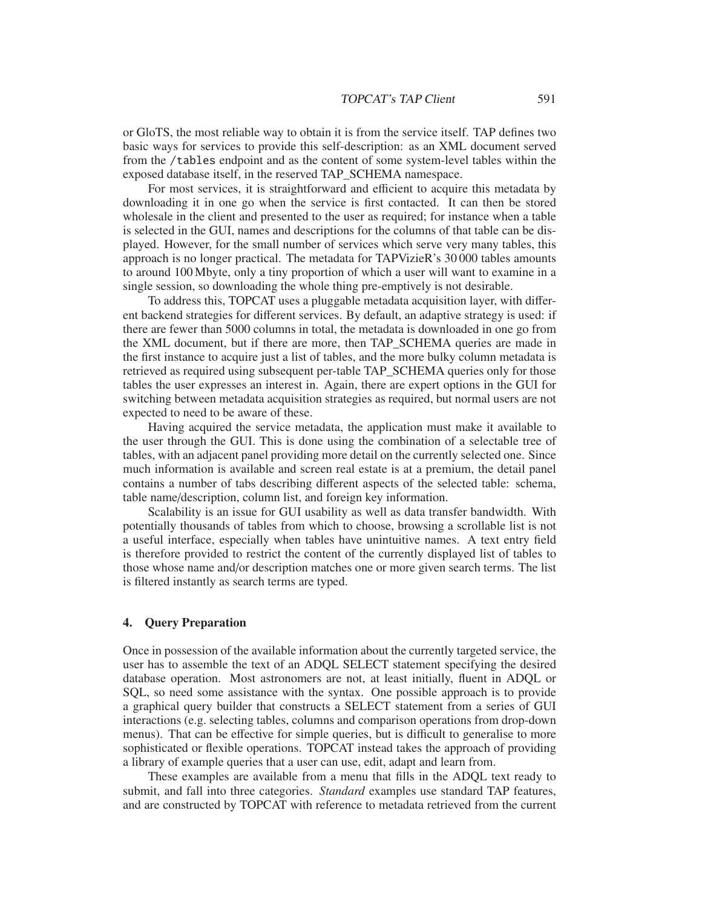or GloTS, the most reliable way to obtain it is from the service itself. TAP defines two basic ways for services to provide this self-description: as an XML document served from the /tables endpoint and as the content of some system-level tables within the exposed database itself, in the reserved TAP\_SCHEMA namespace.

For most services, it is straightforward and efficient to acquire this metadata by downloading it in one go when the service is first contacted. It can then be stored wholesale in the client and presented to the user as required; for instance when a table is selected in the GUI, names and descriptions for the columns of that table can be displayed. However, for the small number of services which serve very many tables, this approach is no longer practical. The metadata for TAPVizieR's 30 000 tables amounts to around 100 Mbyte, only a tiny proportion of which a user will want to examine in a single session, so downloading the whole thing pre-emptively is not desirable.

To address this, TOPCAT uses a pluggable metadata acquisition layer, with different backend strategies for different services. By default, an adaptive strategy is used: if there are fewer than 5000 columns in total, the metadata is downloaded in one go from the XML document, but if there are more, then TAP\_SCHEMA queries are made in the first instance to acquire just a list of tables, and the more bulky column metadata is retrieved as required using subsequent per-table TAP\_SCHEMA queries only for those tables the user expresses an interest in. Again, there are expert options in the GUI for switching between metadata acquisition strategies as required, but normal users are not expected to need to be aware of these.

Having acquired the service metadata, the application must make it available to the user through the GUI. This is done using the combination of a selectable tree of tables, with an adjacent panel providing more detail on the currently selected one. Since much information is available and screen real estate is at a premium, the detail panel contains a number of tabs describing different aspects of the selected table: schema, table name/description, column list, and foreign key information.

Scalability is an issue for GUI usability as well as data transfer bandwidth. With potentially thousands of tables from which to choose, browsing a scrollable list is not a useful interface, especially when tables have unintuitive names. A text entry field is therefore provided to restrict the content of the currently displayed list of tables to those whose name and/or description matches one or more given search terms. The list is filtered instantly as search terms are typed.

## 4. Query Preparation

Once in possession of the available information about the currently targeted service, the user has to assemble the text of an ADQL SELECT statement specifying the desired database operation. Most astronomers are not, at least initially, fluent in ADQL or SQL, so need some assistance with the syntax. One possible approach is to provide a graphical query builder that constructs a SELECT statement from a series of GUI interactions (e.g. selecting tables, columns and comparison operations from drop-down menus). That can be effective for simple queries, but is difficult to generalise to more sophisticated or flexible operations. TOPCAT instead takes the approach of providing a library of example queries that a user can use, edit, adapt and learn from.

These examples are available from a menu that fills in the ADQL text ready to submit, and fall into three categories. *Standard* examples use standard TAP features, and are constructed by TOPCAT with reference to metadata retrieved from the current